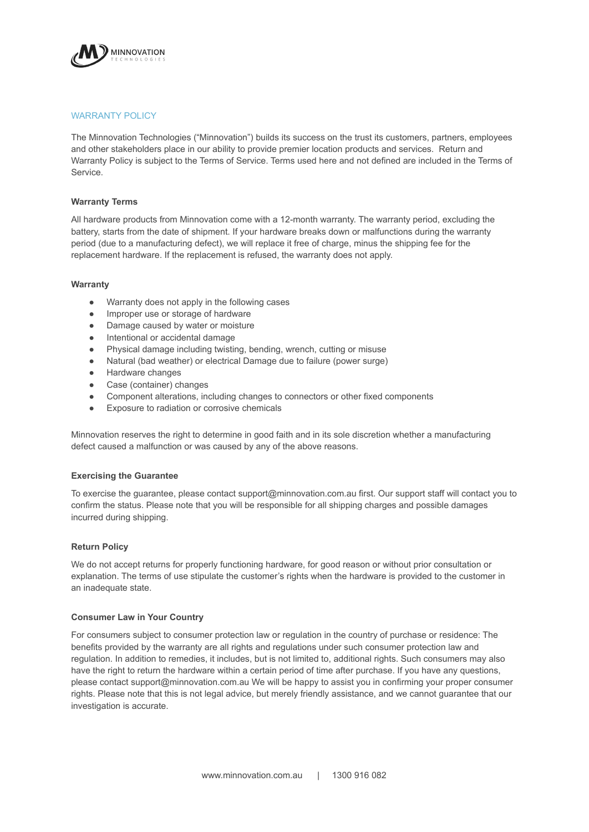

# WARRANTY POLICY

The Minnovation Technologies ("Minnovation") builds its success on the trust its customers, partners, employees and other stakeholders place in our ability to provide premier location products and services. Return and Warranty Policy is subject to the Terms of Service. Terms used here and not defined are included in the Terms of Service.

### **Warranty Terms**

All hardware products from Minnovation come with a 12-month warranty. The warranty period, excluding the battery, starts from the date of shipment. If your hardware breaks down or malfunctions during the warranty period (due to a manufacturing defect), we will replace it free of charge, minus the shipping fee for the replacement hardware. If the replacement is refused, the warranty does not apply.

#### **Warranty**

- Warranty does not apply in the following cases
- Improper use or storage of hardware
- Damage caused by water or moisture
- Intentional or accidental damage
- Physical damage including twisting, bending, wrench, cutting or misuse
- Natural (bad weather) or electrical Damage due to failure (power surge)
- Hardware changes
- Case (container) changes
- Component alterations, including changes to connectors or other fixed components
- Exposure to radiation or corrosive chemicals

Minnovation reserves the right to determine in good faith and in its sole discretion whether a manufacturing defect caused a malfunction or was caused by any of the above reasons.

# **Exercising the Guarantee**

To exercise the guarantee, please contact support@minnovation.com.au first. Our support staff will contact you to confirm the status. Please note that you will be responsible for all shipping charges and possible damages incurred during shipping.

#### **Return Policy**

We do not accept returns for properly functioning hardware, for good reason or without prior consultation or explanation. The terms of use stipulate the customer's rights when the hardware is provided to the customer in an inadequate state.

#### **Consumer Law in Your Country**

For consumers subject to consumer protection law or regulation in the country of purchase or residence: The benefits provided by the warranty are all rights and regulations under such consumer protection law and regulation. In addition to remedies, it includes, but is not limited to, additional rights. Such consumers may also have the right to return the hardware within a certain period of time after purchase. If you have any questions, please contact support@minnovation.com.au We will be happy to assist you in confirming your proper consumer rights. Please note that this is not legal advice, but merely friendly assistance, and we cannot guarantee that our investigation is accurate.